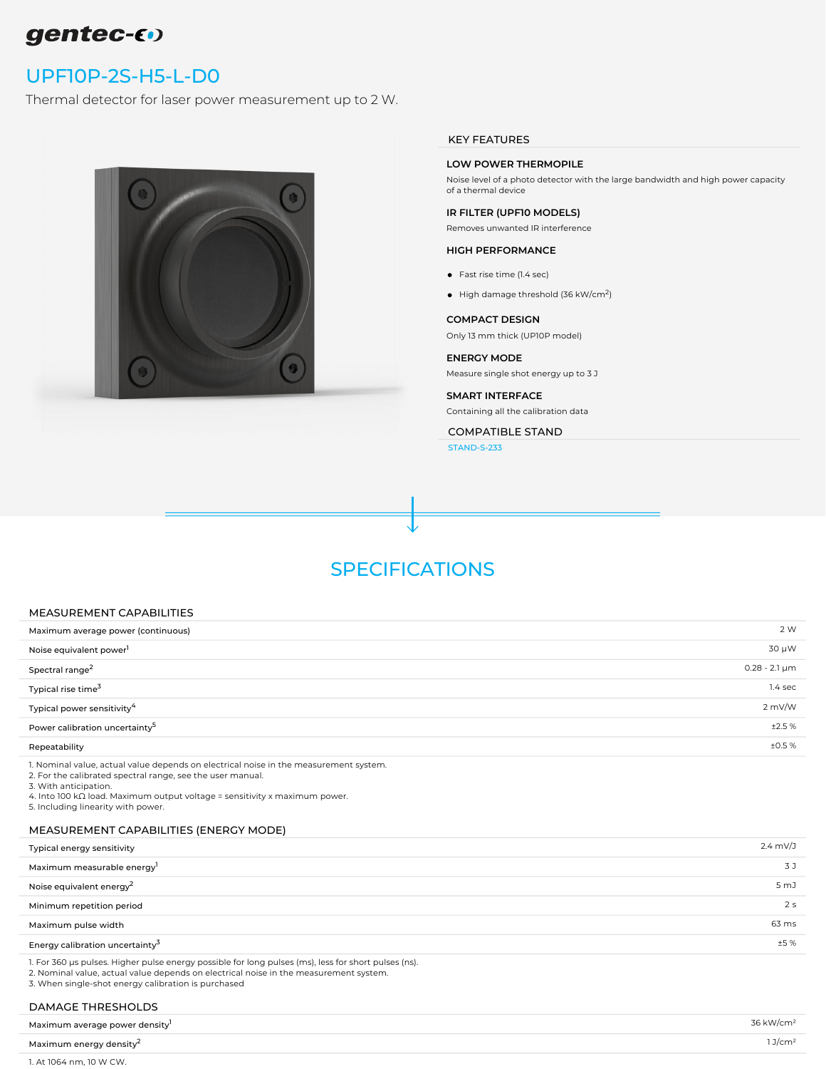# gentec-60

## [UPF10P-2S-H5-L-D0](https://www.gentec-eo.com/products/upf10p-2s-h5-l-d0)

Thermal detector for laser power measurement up to 2 W.



#### KEY FEATURES

### LOW POWER THERMOPILE

Noise level of a photo detector with the large bandwidth and high power capacity of a thermal device

#### IR FILTER (UPF10 MODELS)

Removes unwanted IR interference

#### HIGH PERFORMANCE

- Fast rise time (1.4 sec)
- High damage threshold (36 kW/cm<sup>2</sup>)

#### COMPACT DESIGN

Only 13 mm thick (UP10P model)

#### ENERGY MODE

Measure single shot energy up to 3 J

#### SMART INTERFACE

Containing all the calibration data

COMPATIBLE STAND

[STAND-S-233](https://www.gentec-eo.com/products/stand-s-233)

## SPECIFICATIONS

#### MEASUREMENT CAPABILITIES

| Maximum average power (continuous)         | 2 W                  |
|--------------------------------------------|----------------------|
| Noise equivalent power <sup>1</sup>        | 30 µW                |
| Spectral range <sup>2</sup>                | $0.28 - 2.1 \,\mu m$ |
| Typical rise time <sup>3</sup>             | $1.4$ sec            |
| Typical power sensitivity <sup>4</sup>     | 2 mV/W               |
| Power calibration uncertainty <sup>5</sup> | ±2.5%                |
| Repeatability                              | ±0.5%                |

1. Nominal value, actual value depends on electrical noise in the measurement system.

2. For the calibrated spectral range, see the user manual.

3. With anticipation.

4. Into 100 kΩ load. Maximum output voltage = sensitivity x maximum power.

5. Including linearity with power.

## MEASUREMENT CAPABILITIES (ENERGY MODE)

| Typical energy sensitivity                  | $2.4 \text{ mV}/J$ |
|---------------------------------------------|--------------------|
| Maximum measurable energy                   | 3 J                |
| Noise equivalent energy <sup>2</sup>        | 5 mJ               |
| Minimum repetition period                   | 2 <sub>s</sub>     |
| Maximum pulse width                         | 63 ms              |
| Energy calibration uncertainty <sup>3</sup> | ±5%                |
|                                             |                    |

1. For 360 μs pulses. Higher pulse energy possible for long pulses (ms), less for short pulses (ns). 2. Nominal value, actual value depends on electrical noise in the measurement system. 3. When single-shot energy calibration is purchased

### DAMAGE THRESHOLDS

| Maximum average power density <sup>1</sup> | 36 kW/cm²          |
|--------------------------------------------|--------------------|
| Maximum energy density <sup>2</sup>        | 1J/cm <sup>2</sup> |
| 1. At 1064 nm, 10 W CW.                    |                    |